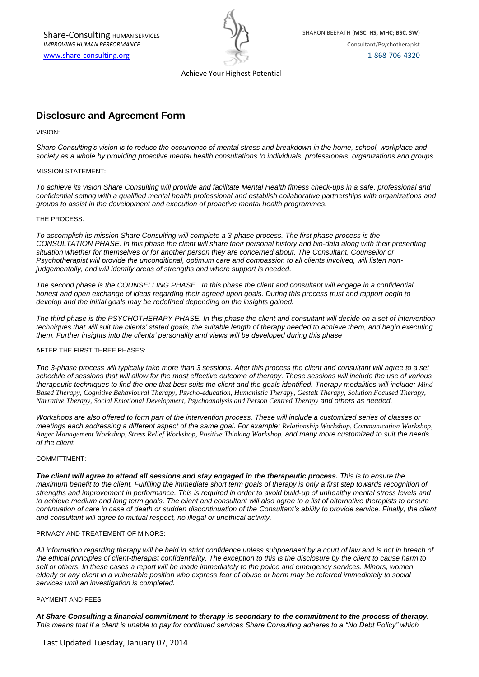

Achieve Your Highest Potential

# **Disclosure and Agreement Form**

VISION:

*Share Consulting's vision is to reduce the occurrence of mental stress and breakdown in the home, school, workplace and society as a whole by providing proactive mental health consultations to individuals, professionals, organizations and groups.* 

### MISSION STATEMENT:

*To achieve its vision Share Consulting will provide and facilitate Mental Health fitness check-ups in a safe, professional and confidential setting with a qualified mental health professional and establish collaborative partnerships with organizations and groups to assist in the development and execution of proactive mental health programmes.*

#### THE PROCESS:

*To accomplish its mission Share Consulting will complete a 3-phase process. The first phase process is the CONSULTATION PHASE. In this phase the client will share their personal history and bio-data along with their presenting situation whether for themselves or for another person they are concerned about. The Consultant, Counsellor or Psychotherapist will provide the unconditional, optimum care and compassion to all clients involved, will listen nonjudgementally, and will identify areas of strengths and where support is needed.*

*The second phase is the COUNSELLING PHASE. In this phase the client and consultant will engage in a confidential, honest and open exchange of ideas regarding their agreed upon goals. During this process trust and rapport begin to develop and the initial goals may be redefined depending on the insights gained.*

*The third phase is the PSYCHOTHERAPY PHASE. In this phase the client and consultant will decide on a set of intervention techniques that will suit the clients' stated goals, the suitable length of therapy needed to achieve them, and begin executing them. Further insights into the clients' personality and views will be developed during this phase*

### AFTER THE FIRST THREE PHASES:

*The 3-phase process will typically take more than 3 sessions. After this process the client and consultant will agree to a set schedule of sessions that will allow for the most effective outcome of therapy. These sessions will include the use of various therapeutic techniques to find the one that best suits the client and the goals identified. Therapy modalities will include: Mind-Based Therapy, Cognitive Behavioural Therapy, Psycho-education, Humanistic Therapy, Gestalt Therapy, Solution Focused Therapy, Narrative Therapy, Social Emotional Development, Psychoanalysis and Person Centred Therapy and others as needed.*

*Workshops are also offered to form part of the intervention process. These will include a customized series of classes or meetings each addressing a different aspect of the same goal. For example: Relationship Workshop, Communication Workshop, Anger Management Workshop, Stress Relief Workshop, Positive Thinking Workshop, and many more customized to suit the needs of the client.*

#### COMMITTMENT:

*The client will agree to attend all sessions and stay engaged in the therapeutic process. This is to ensure the maximum benefit to the client. Fulfilling the immediate short term goals of therapy is only a first step towards recognition of strengths and improvement in performance. This is required in order to avoid build-up of unhealthy mental stress levels and to achieve medium and long term goals. The client and consultant will also agree to a list of alternative therapists to ensure continuation of care in case of death or sudden discontinuation of the Consultant's ability to provide service. Finally, the client and consultant will agree to mutual respect, no illegal or unethical activity,* 

## PRIVACY AND TREATEMENT OF MINORS:

All information regarding therapy will be held in strict confidence unless subpoenaed by a court of law and is not in breach of *the ethical principles of client-therapist confidentiality. The exception to this is the disclosure by the client to cause harm to self or others. In these cases a report will be made immediately to the police and emergency services. Minors, women, elderly or any client in a vulnerable position who express fear of abuse or harm may be referred immediately to social services until an investigation is completed.*

### PAYMENT AND FEES:

*At Share Consulting a financial commitment to therapy is secondary to the commitment to the process of therapy. This means that if a client is unable to pay for continued services Share Consulting adheres to a "No Debt Policy" which*